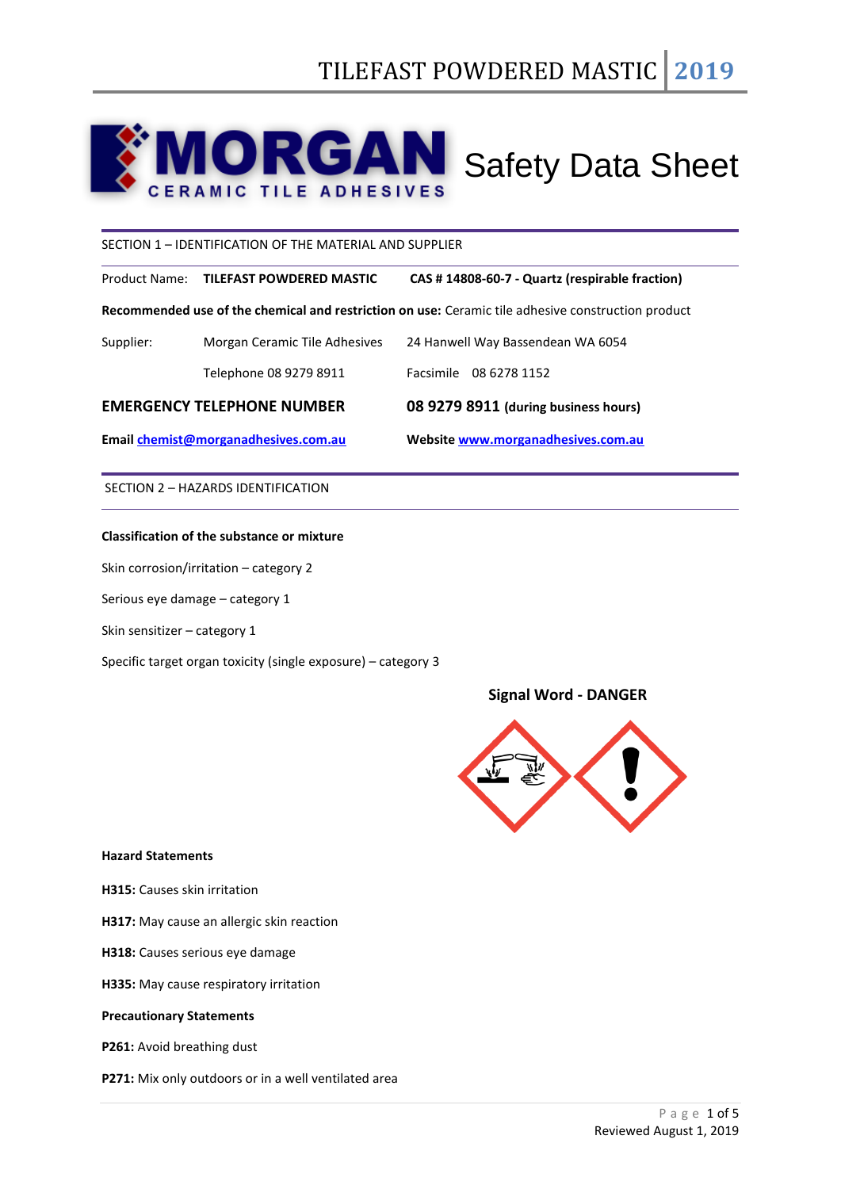# **NIORGAN** Safety Data Sheet

SECTION 1 – IDENTIFICATION OF THE MATERIAL AND SUPPLIER

Product Name: **TILEFAST POWDERED MASTIC CAS # 14808-60-7 - Quartz (respirable fraction)**

**Recommended use of the chemical and restriction on use:** Ceramic tile adhesive construction product

| Email chemist@morganadhesives.com.au |                                      | Website www.morganadhesives.com.au   |  |
|--------------------------------------|--------------------------------------|--------------------------------------|--|
| <b>EMERGENCY TELEPHONE NUMBER</b>    |                                      | 08 9279 8911 (during business hours) |  |
|                                      | Telephone 08 9279 8911               | Facsimile 08 6278 1152               |  |
| Supplier:                            | <b>Morgan Ceramic Tile Adhesives</b> | 24 Hanwell Way Bassendean WA 6054    |  |

SECTION 2 – HAZARDS IDENTIFICATION

# **Classification of the substance or mixture**

Skin corrosion/irritation – category 2

Serious eye damage – category 1

Skin sensitizer – category 1

Specific target organ toxicity (single exposure) – category 3

# **Signal Word - DANGER**



## **Hazard Statements**

**H315:** Causes skin irritation

**H317:** May cause an allergic skin reaction

- **H318:** Causes serious eye damage
- **H335:** May cause respiratory irritation

### **Precautionary Statements**

**P261:** Avoid breathing dust

**P271:** Mix only outdoors or in a well ventilated area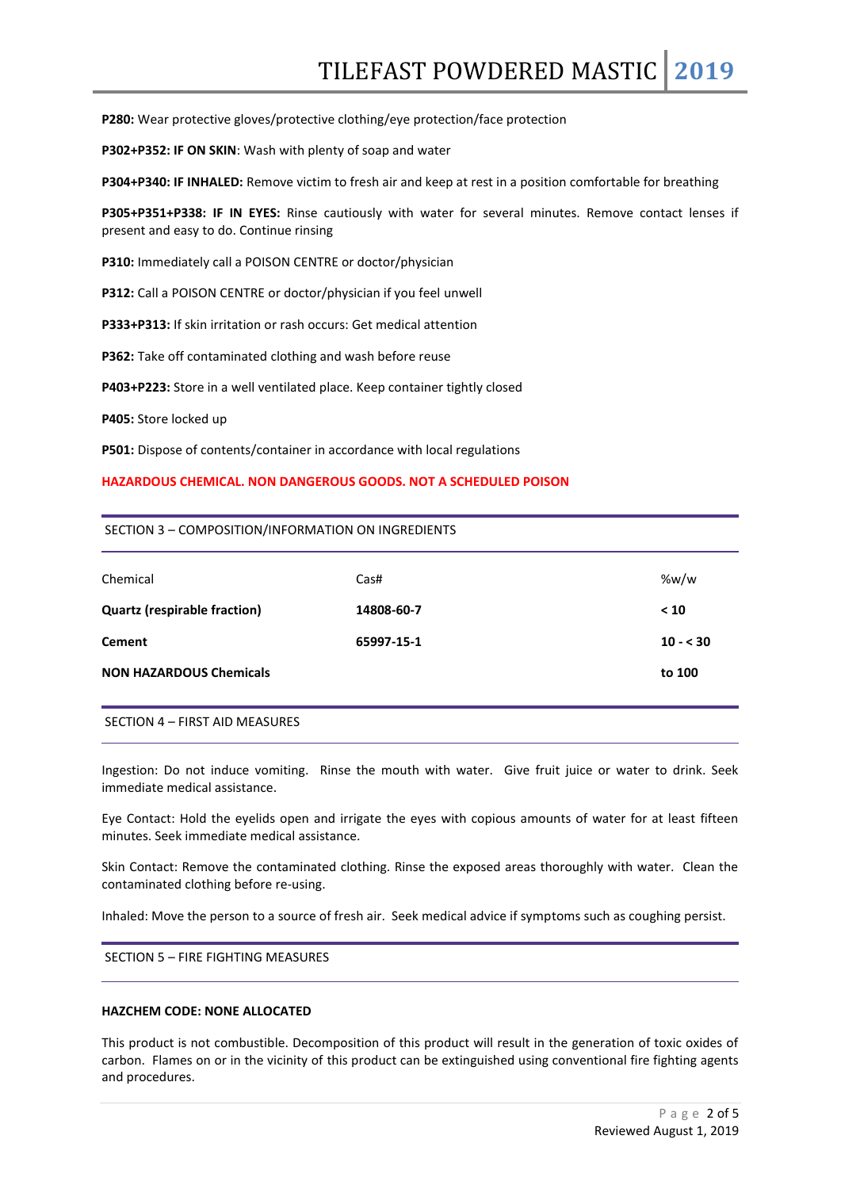**P280:** Wear protective gloves/protective clothing/eye protection/face protection

**P302+P352: IF ON SKIN**: Wash with plenty of soap and water

**P304+P340: IF INHALED:** Remove victim to fresh air and keep at rest in a position comfortable for breathing

**P305+P351+P338: IF IN EYES:** Rinse cautiously with water for several minutes. Remove contact lenses if present and easy to do. Continue rinsing

**P310:** Immediately call a POISON CENTRE or doctor/physician

**P312:** Call a POISON CENTRE or doctor/physician if you feel unwell

**P333+P313:** If skin irritation or rash occurs: Get medical attention

**P362:** Take off contaminated clothing and wash before reuse

**P403+P223:** Store in a well ventilated place. Keep container tightly closed

**P405:** Store locked up

**P501:** Dispose of contents/container in accordance with local regulations

## **HAZARDOUS CHEMICAL. NON DANGEROUS GOODS. NOT A SCHEDULED POISON**

### SECTION 3 – COMPOSITION/INFORMATION ON INGREDIENTS

| Chemical                            | Cas#       | %w/w      |
|-------------------------------------|------------|-----------|
| <b>Quartz (respirable fraction)</b> | 14808-60-7 | < 10      |
| <b>Cement</b>                       | 65997-15-1 | $10 - 30$ |
| <b>NON HAZARDOUS Chemicals</b>      |            | to 100    |
|                                     |            |           |

SECTION 4 – FIRST AID MEASURES

Ingestion: Do not induce vomiting. Rinse the mouth with water. Give fruit juice or water to drink. Seek immediate medical assistance.

Eye Contact: Hold the eyelids open and irrigate the eyes with copious amounts of water for at least fifteen minutes. Seek immediate medical assistance.

Skin Contact: Remove the contaminated clothing. Rinse the exposed areas thoroughly with water. Clean the contaminated clothing before re-using.

Inhaled: Move the person to a source of fresh air. Seek medical advice if symptoms such as coughing persist.

SECTION 5 – FIRE FIGHTING MEASURES

## **HAZCHEM CODE: NONE ALLOCATED**

This product is not combustible. Decomposition of this product will result in the generation of toxic oxides of carbon. Flames on or in the vicinity of this product can be extinguished using conventional fire fighting agents and procedures.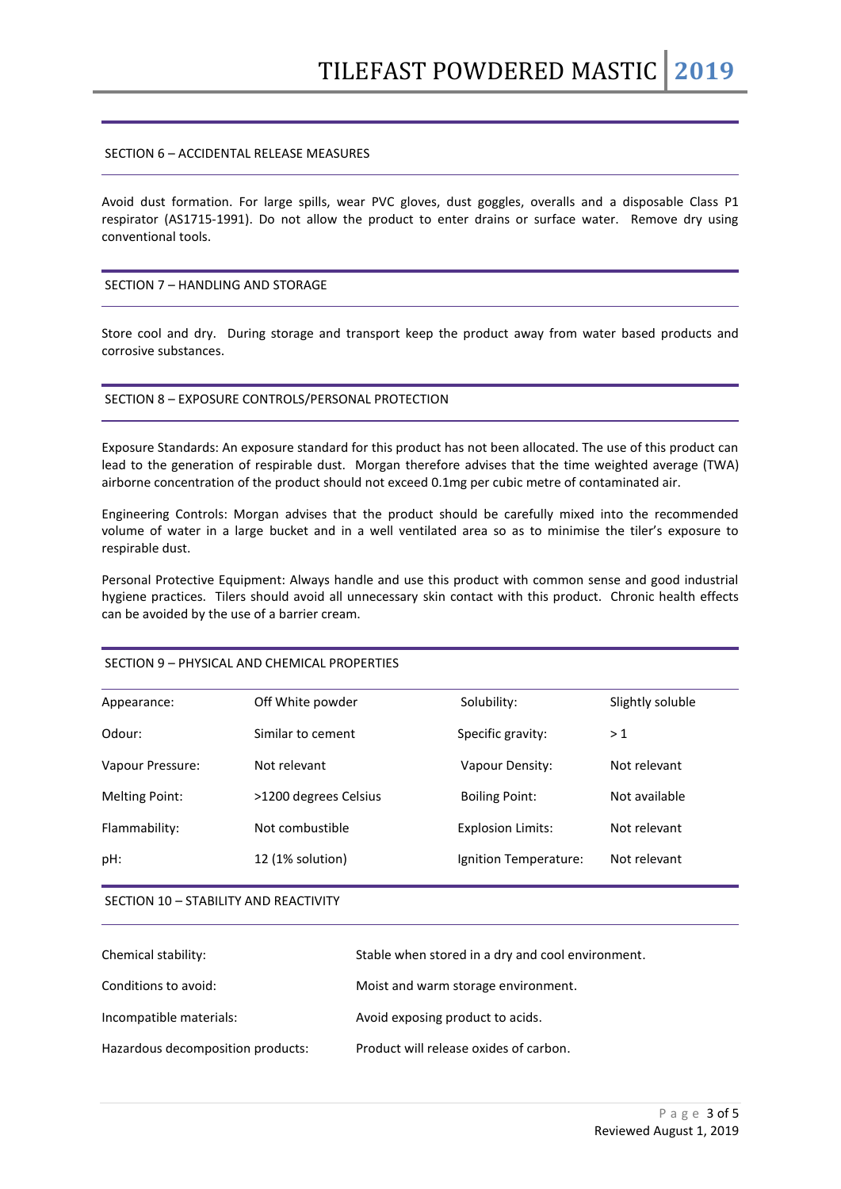### SECTION 6 – ACCIDENTAL RELEASE MEASURES

Avoid dust formation. For large spills, wear PVC gloves, dust goggles, overalls and a disposable Class P1 respirator (AS1715-1991). Do not allow the product to enter drains or surface water. Remove dry using conventional tools.

# SECTION 7 – HANDLING AND STORAGE

Store cool and dry. During storage and transport keep the product away from water based products and corrosive substances.

### SECTION 8 – EXPOSURE CONTROLS/PERSONAL PROTECTION

Exposure Standards: An exposure standard for this product has not been allocated. The use of this product can lead to the generation of respirable dust. Morgan therefore advises that the time weighted average (TWA) airborne concentration of the product should not exceed 0.1mg per cubic metre of contaminated air.

Engineering Controls: Morgan advises that the product should be carefully mixed into the recommended volume of water in a large bucket and in a well ventilated area so as to minimise the tiler's exposure to respirable dust.

Personal Protective Equipment: Always handle and use this product with common sense and good industrial hygiene practices. Tilers should avoid all unnecessary skin contact with this product. Chronic health effects can be avoided by the use of a barrier cream.

### SECTION 9 – PHYSICAL AND CHEMICAL PROPERTIES

| Appearance:           | Off White powder      | Solubility:              | Slightly soluble |
|-----------------------|-----------------------|--------------------------|------------------|
| Odour:                | Similar to cement     | Specific gravity:        | >1               |
| Vapour Pressure:      | Not relevant          | Vapour Density:          | Not relevant     |
| <b>Melting Point:</b> | >1200 degrees Celsius | <b>Boiling Point:</b>    | Not available    |
| Flammability:         | Not combustible       | <b>Explosion Limits:</b> | Not relevant     |
| pH:                   | 12 (1% solution)      | Ignition Temperature:    | Not relevant     |
|                       |                       |                          |                  |

### SECTION 10 – STABILITY AND REACTIVITY

| Chemical stability:               | Stable when stored in a dry and cool environment. |
|-----------------------------------|---------------------------------------------------|
| Conditions to avoid:              | Moist and warm storage environment.               |
| Incompatible materials:           | Avoid exposing product to acids.                  |
| Hazardous decomposition products: | Product will release oxides of carbon.            |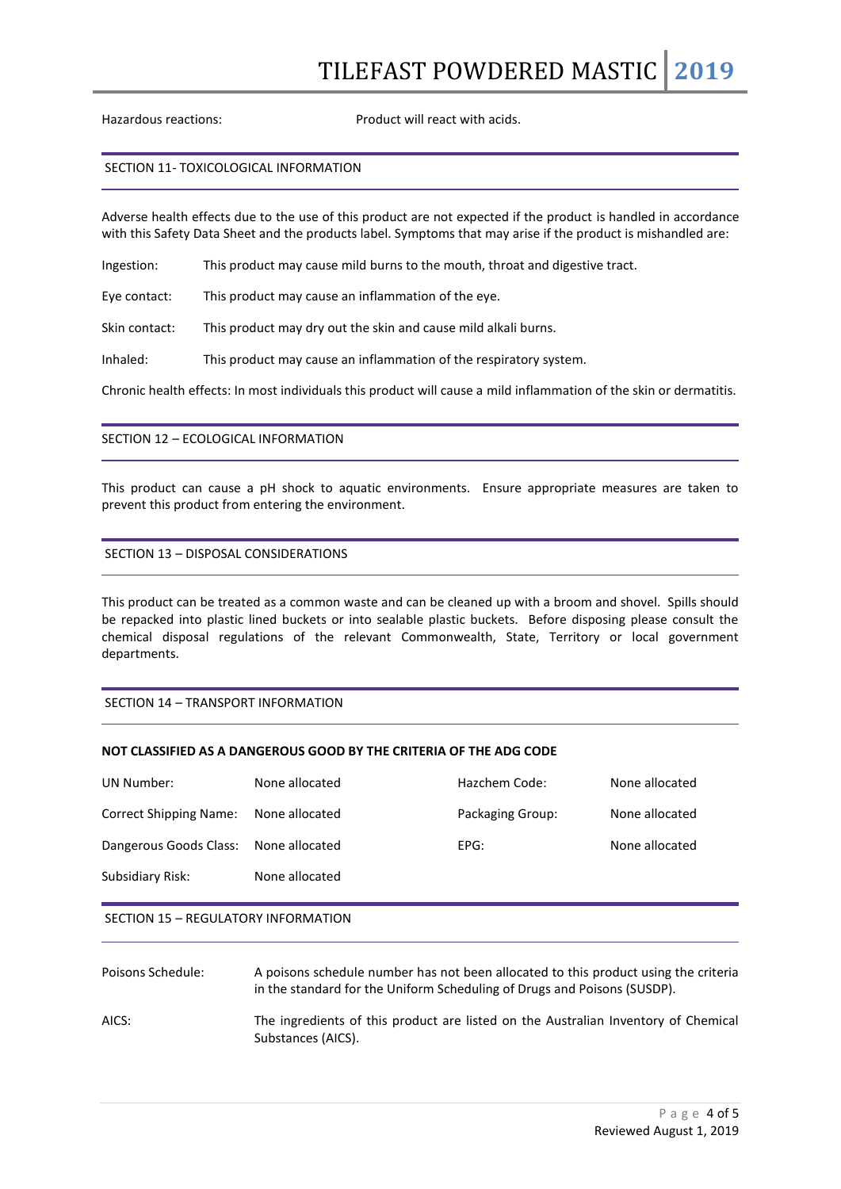Hazardous reactions: Product will react with acids.

### SECTION 11- TOXICOLOGICAL INFORMATION

Adverse health effects due to the use of this product are not expected if the product is handled in accordance with this Safety Data Sheet and the products label. Symptoms that may arise if the product is mishandled are:

Ingestion: This product may cause mild burns to the mouth, throat and digestive tract.

Eye contact: This product may cause an inflammation of the eye.

Skin contact: This product may dry out the skin and cause mild alkali burns.

Inhaled: This product may cause an inflammation of the respiratory system.

Chronic health effects: In most individuals this product will cause a mild inflammation of the skin or dermatitis.

# SECTION 12 – ECOLOGICAL INFORMATION

This product can cause a pH shock to aquatic environments. Ensure appropriate measures are taken to prevent this product from entering the environment.

# SECTION 13 – DISPOSAL CONSIDERATIONS

This product can be treated as a common waste and can be cleaned up with a broom and shovel. Spills should be repacked into plastic lined buckets or into sealable plastic buckets. Before disposing please consult the chemical disposal regulations of the relevant Commonwealth, State, Territory or local government departments.

# SECTION 14 – TRANSPORT INFORMATION

# **NOT CLASSIFIED AS A DANGEROUS GOOD BY THE CRITERIA OF THE ADG CODE**

| UN Number:             | None allocated | Hazchem Code:    | None allocated |
|------------------------|----------------|------------------|----------------|
| Correct Shipping Name: | None allocated | Packaging Group: | None allocated |
| Dangerous Goods Class: | None allocated | EPG:             | None allocated |
| Subsidiary Risk:       | None allocated |                  |                |
|                        |                |                  |                |

### SECTION 15 – REGULATORY INFORMATION

| Poisons Schedule: | A poisons schedule number has not been allocated to this product using the criteria<br>in the standard for the Uniform Scheduling of Drugs and Poisons (SUSDP). |
|-------------------|-----------------------------------------------------------------------------------------------------------------------------------------------------------------|
| AICS:             | The ingredients of this product are listed on the Australian Inventory of Chemical<br>Substances (AICS).                                                        |